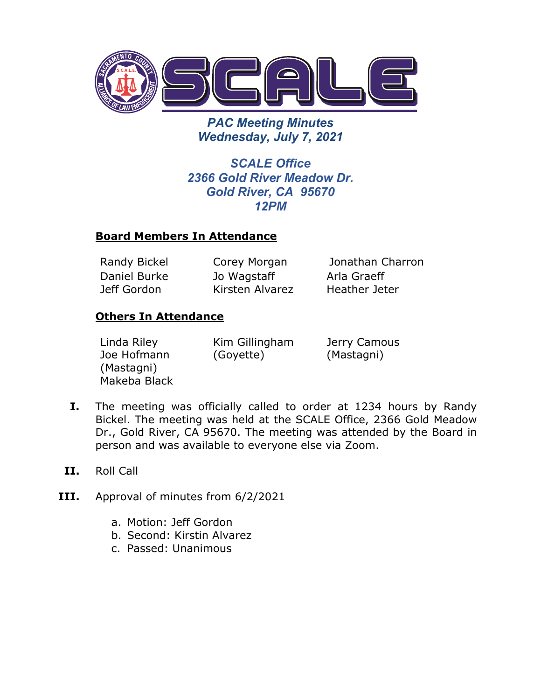

*PAC Meeting Minutes Wednesday, July 7, 2021*

*SCALE Office 2366 Gold River Meadow Dr. Gold River, CA 95670 12PM*

## **Board Members In Attendance**

Daniel Burke Jeff Gordon

Jo Wagstaff Kirsten Alvarez

Randy Bickel Corey Morgan Jonathan Charron Arla Graeff Heather Jeter

## **Others In Attendance**

Linda Riley Joe Hofmann (Mastagni) Makeba Black Kim Gillingham (Goyette)

Jerry Camous (Mastagni)

- **I.** The meeting was officially called to order at 1234 hours by Randy Bickel. The meeting was held at the SCALE Office, 2366 Gold Meadow Dr., Gold River, CA 95670. The meeting was attended by the Board in person and was available to everyone else via Zoom.
- **II.** Roll Call
- **III.** Approval of minutes from 6/2/2021
	- a. Motion: Jeff Gordon
	- b. Second: Kirstin Alvarez
	- c. Passed: Unanimous